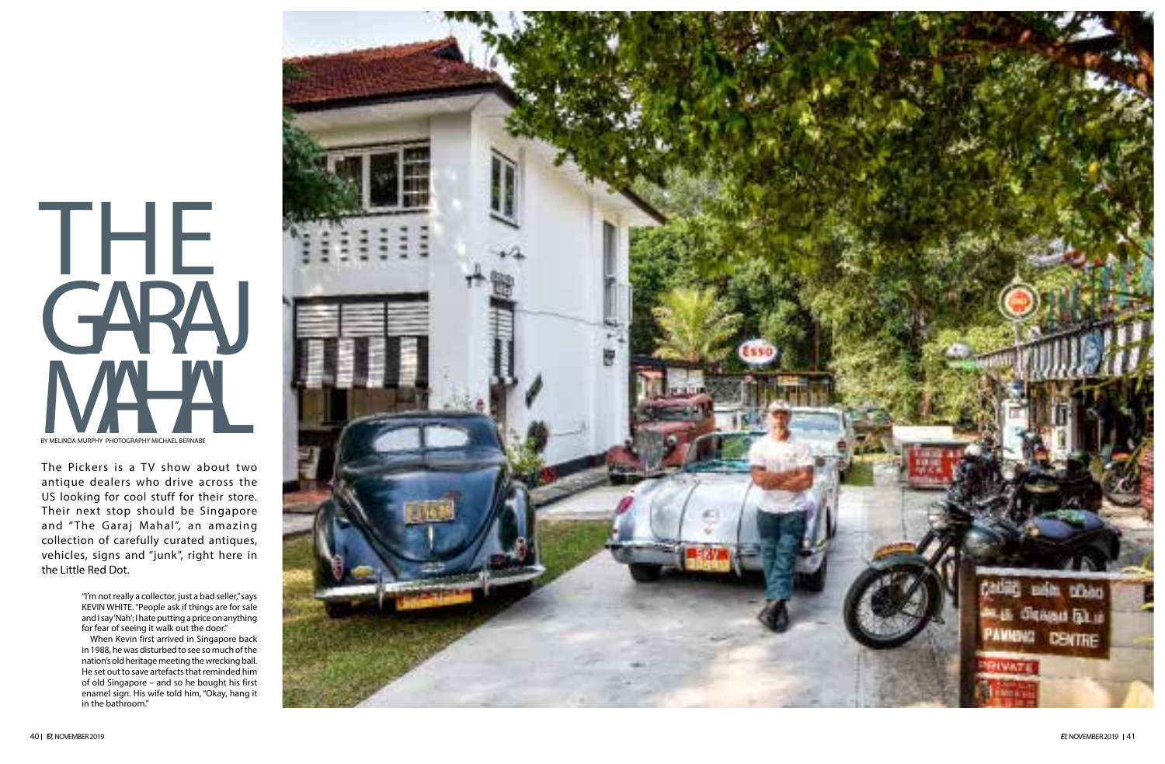

The Pickers is a TV show about two antique dealers who drive across the US looking for cool stuff for their store. Their next stop should be Singapore and " The Garaj Mahal", an amazing collection of carefully curated antiques, vehicles, signs and "junk", right here in the Little Red Dot.

> "I'm not really a collector, just a bad seller," says KEVIN WHITE. "People ask if things are for sale and I say 'Nah'; I hate putting a price on anything for fear of seeing it walk out the door."

> When Kevin first arrived in Singapore back in 1988, he was disturbed to see so much of the nation's old heritage meeting the wrecking ball. He set out to save artefacts that reminded him of old Singapore – and so he bought his first enamel sign. His wife told him, "Okay, hang it in the bathroom."

# THE GARAJ BY MELINDA MURPHY PHOTOGRAPHY MICHAEL BERNABE BY MELINDA MURPHY PHOTOGRAPHY MICHAEL BERNABE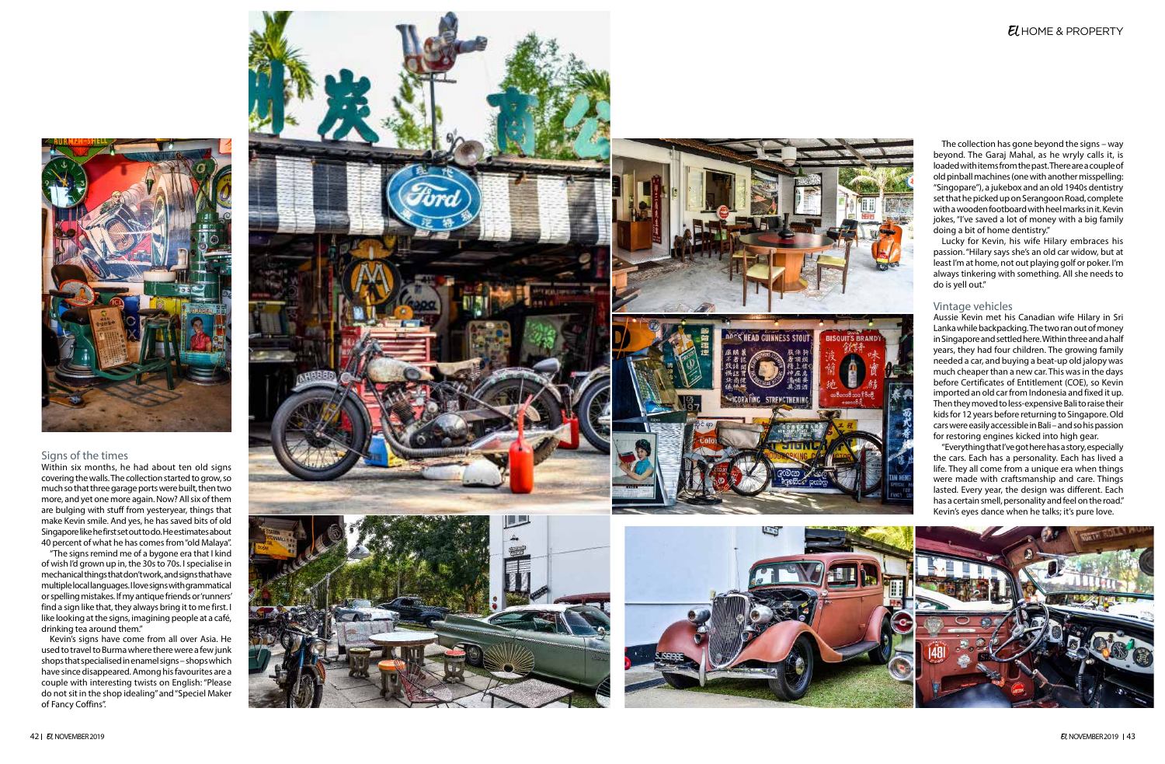

### Signs of the times

Within six months, he had about ten old signs covering the walls. The collection started to grow, so much so that three garage ports were built, then two more, and yet one more again. Now? All six of them are bulging with stuff from yesteryear, things that make Kevin smile. And yes, he has saved bits of old Singapore like he first set out to do. He estimates about 40 percent of what he has comes from "old Malaya".

"The signs remind me of a bygone era that I kind of wish I'd grown up in, the 30s to 70s. I specialise in mechanical things that don't work, and signs that have multiple local languages. I love signs with grammatical or spelling mistakes. If my antique friends or 'runners' find a sign like that, they always bring it to me first. I like looking at the signs, imagining people at a café, drinking tea around them."

Kevin's signs have come from all over Asia. He used to travel to Burma where there were a few junk shops that specialised in enamel signs – shops which have since disappeared. Among his favourites are a couple with interesting twists on English: "Please do not sit in the shop idealing" and "Speciel Maker of Fancy Coffins".







# EL HOME & PROPERTY

The collection has gone beyond the signs – way beyond. The Garaj Mahal, as he wryly calls it, is loaded with items from the past. There are a couple of<br>old pinball machines (one with another misspelling: "Singopare"), a jukebox and an old 1940s dentistry set that he picked up on Serangoon Road, complete with a wooden footboard with heel marks in it. Kevin jokes, "I've saved a lot of money with a big family doing a bit of home dentistry."

Lucky for Kevin, his wife Hilary embraces his passion. "Hilary says she's an old car widow, but at least I'm at home, not out playing golf or poker. I'm always tinkering with something. All she needs to do is yell out."

#### Vintage vehicles

Aussie Kevin met his Canadian wife Hilary in Sri Lanka while backpacking. The two ran out of money in Singapore and settled here. Within three and a half years, they had four children. The growing family needed a car, and buying a beat-up old jalopy was much cheaper than a new car. This was in the days before Certificates of Entitlement (COE), so Kevin imported an old car from Indonesia and fixed it up. Then they moved to less-expensive Bali to raise their kids for 12 years before returning to Singapore. Old cars were easily accessible in Bali – and so his passion for restoring engines kicked into high gear.

"Everything that I've got here has a story, especially the cars. Each has a personality. Each has lived a life. They all come from a unique era when things were made with craftsmanship and care. Things lasted. Every year, the design was different. Each has a certain smell, personality and feel on the road." Kevin's eyes dance when he talks; it's pure love.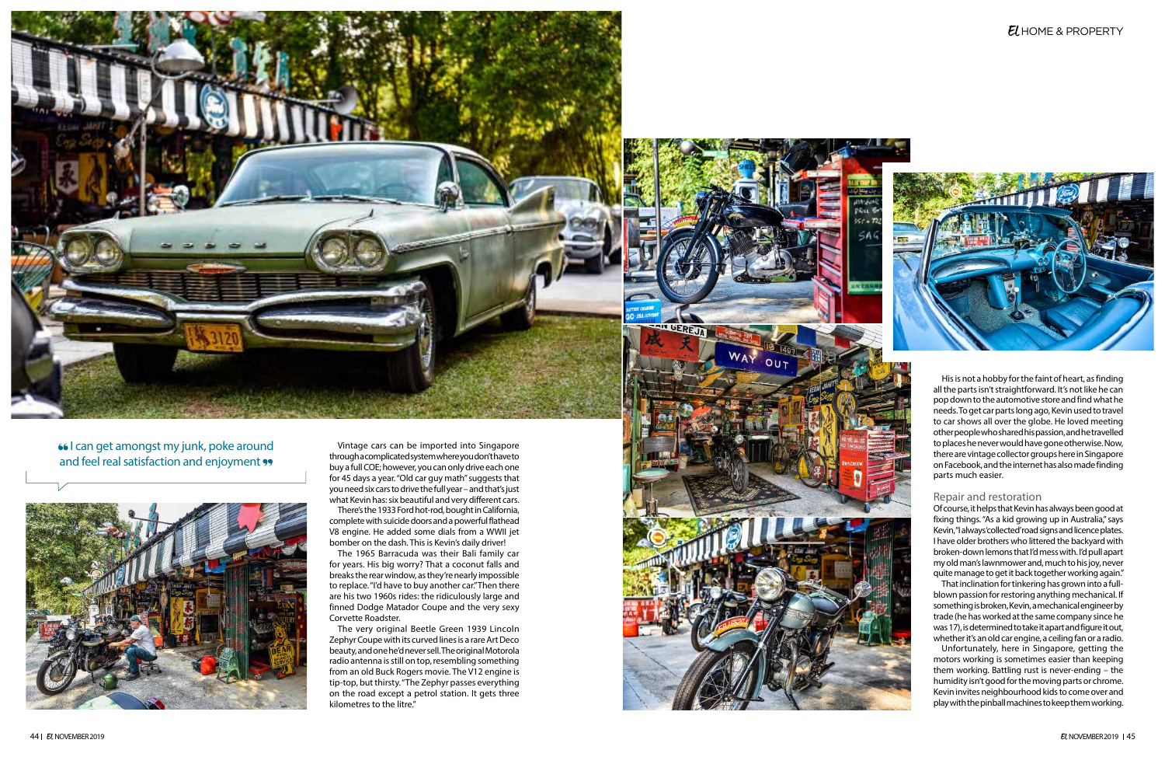66 can get amongst my junk, poke around and feel real satisfaction and enjoyment "



Vintage cars can be imported into Singapore through a complicated system where you don't have to buy a full COE; however, you can only drive each one for 45 days a year. "Old car guy math" suggests that you need six cars to drive the full year – and that's just what Kevin has: six beautiful and very different cars.

There's the 1933 Ford hot-rod, bought in California, complete with suicide doors and a powerful flathead V8 engine. He added some dials from a WWII jet bomber on the dash. This is Kevin's daily driver!

The 1965 Barracuda was their Bali family car for years. His big worry? That a coconut falls and breaks the rear window, as they're nearly impossible to replace. "I'd have to buy another car."Then there are his two 1960s rides: the ridiculously large and finned Dodge Matador Coupe and the very sexy Corvette Roadster.

The very original Beetle Green 1939 Lincoln Zephyr Coupe with its curved lines is a rare Art Deco beauty, and one he'd never sell. The original Motorola radio antenna is still on top, resembling something from an old Buck Rogers movie. The V12 engine is tip-top, but thirsty. "The Zephyr passes everything on the road except a petrol station. It gets three kilometres to the litre."

# EL HOME & PROPERTY



His is not a hobby for the faint of heart, as finding all the parts isn't straightforward. It's not like he can pop down to the automotive store and find what he needs. To get car parts long ago, Kevin used to travel to car shows all over the globe. He loved meeting other people who shared his passion, and he travelled to places he never would have gone otherwise. Now, there are vintage collector groups here in Singapore on Facebook, and the internet has also made finding parts much easier.

## Repair and restoration

Of course, it helps that Kevin has always been good at fixing things. "As a kid growing up in Australia," says Kevin, "I always 'collected' road signs and licence plates. I have older brothers who littered the backyard with broken-down lemons that I'd mess with. I'd pull apart my old man's lawnmower and, much to his joy, never quite manage to get it back together working again."

That inclination for tinkering has grown into a fullblown passion for restoring anything mechanical. If something is broken, Kevin, a mechanical engineer by trade (he has worked at the same company since he was 17), is determined to take it apart and figure it out, whether it's an old car engine, a ceiling fan or a radio.

Unfortunately, here in Singapore, getting the motors working is sometimes easier than keeping them working. Battling rust is never-ending – the humidity isn't good for the moving parts or chrome. Kevin invites neighbourhood kids to come over and play with the pinball machines to keep them working.